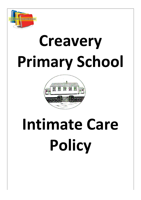

# **Creavery Primary School**



## **Intimate Care Policy**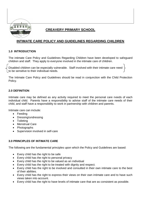

## **CREAVERY PRIMARY SCHOOL**

## **INTIMATE CARE POLICY AND GUIDELINES REGARDING CHILDREN**

#### **1.0 INTRODUCTION**

The intimate Care Policy and Guidelines Regarding Children have been developed to safeguard children and staff. They apply to everyone involved in the intimate care of children.

Disabled children can be especially vulnerable. Staff involved with their intimate care need to be sensitive to their individual needs.

The Intimate Care Policy and Guidelines should be read in conjunction with the Child Protection Policy.

#### **2.0 DEFINITION**

Intimate care may be defined as any activity required to meet the personal care needs of each individual child. Parents have a responsibility to advise staff of the intimate care needs of their child, and staff have a responsibility to work in partnership with children and parents.

Intimate care can include:

- Feeding
- Dressing/undressing
- Toileting
- Menstrual Care
- Photographs
- Supervision involved in self-care

#### **3.0 PRINCIPLES OF INTIMATE CARE**

The following are the fundamental principles upon which the Policy and Guidelines are based:

- Every child has the right to be safe
- Every child has the right to personal privacy
- Every child has the right to be valued as an individual
- Every child has the right to be treated with dignity and respect.
- Every child has the right to be involved and consulted in their own intimate care to the best of their abilities.
- Every child has the right to express their views on their own intimate care and to have such views taken into account.
- Every child has the right to have levels of intimate care that are as consistent as possible.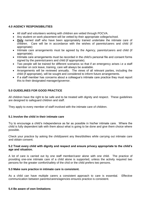#### **4.0 AGENCY RESPONSIBILITIES**

- All staff and volunteers working with children are vetted through POCVA.
- Any student on work placement will be vetted by their appropriate college/school.
- **Only** named staff who have been appropriately trained undertake the intimate care of children. Care will be in accordance with the wishes of parents/carers and child (if appropriate)
- Intimate care arrangements must be agreed by the Agency, parents/carers and child (if appropriate).
- Intimate care arrangements must be recorded in the child's personal file and consent forms signed by the parents/carers and child (if appropriate).
- Two people will be trained for different scenarios so that if an emergency arises i.e a staff member on sick leave, training, care will always be available.
- Arrangements will be reviewed annually. The views of all relevant parties, including the child (if appropriate), will be sought and considered to inform future arrangements.
- If a staff member has concerns about a colleague's intimate care practice they must report this to their designated manager/governor.

#### **5.0 GUIDELINES FOR GOOD PRACTICE**

All children have the right to be safe and to be treated with dignity and respect. These guidelines are designed to safeguard children and staff.

They apply to every member of staff involved with the intimate care of children.

#### **5.1 Involve the child in their intimate care**

Try to encourage a child's independence as far as possible in his/her intimate care. Where the child is fully dependent talk with them about what is going to be done and give them choice where possible.

Check your practice by asking the child/parent any likes/dislikes while carrying out intimate care and obtain consent.

#### **5.2 Treat every child with dignity and respect and ensure privacy appropriate to the child's age and situation.**

A lot of care is carried out by one staff member/carer alone with one child. The practice of providing one-one intimate care of a child alone is supported, unless the activity required two persons for the greater comfort/safety of the chid or the child prefers two persons.

#### **5.3 Make sure practice in intimate care is consistent.**

As a child can have multiple carers a consistent approach to care is essential. Effective communication between parents/carers/agencies ensures practice is consistent.

#### **5.4 Be aware of own limitations**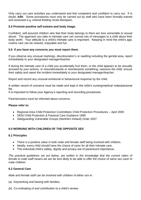Only carry out care activities you understand and feel competent and confident to carry out. If in doubt, **ASK**. Some procedures must only be carried out by staff who have been formally trained and assessed e.g. enteral feeding rectal diazepam.

#### **5.5 Promote positive self-esteem and body image.**

Confident, self-assured children who feel their body belongs to them are less vulnerable to sexual abuse. The approach you take to intimate care can convey lots of messages to a child about their body worth. Your attitude to a child's intimate care is important. Keeping in mind the child's age, routine care can be relaxed, enjoyable and fun.

#### **5.6 If you have any concerns you must report them.**

If you observe any unusual markings, discolouration's or swelling including the genital area, report immediately to your designated manager/teacher.

If during the intimate care of a child you accidentally hurt them, or the child appears to be sexually aroused by your actions, or misunderstands or misinterprets something, reassure the child, ensure their safety and report the incident immediately to your designated manager/teacher.

Report and record any unusual emotional or behavioural response by the child.

A written record of concerns must be made and kept in the child's nursing/medical notes/personal file.

It is important to follow your Agency's reporting and recording procedures.

Parents/carers must be informed about concerns.

#### **Please refer to:**

- Regional Area Child Protection Committees Child Protection Procedures April 2005
- DENI Child Protection & Pastoral Care Guidance 1999
- Safeguarding Vulnerable Groups (Northern Ireland) Order 2007

#### **6.0 WORKING WITH CHILDREN OF THE OPPOSITE SEX**

#### **6.1 Principles**

- There is a positive value in both male and female staff being involved with children.
- Ideally, every child should have the choice of carer for all their intimate care.
- The individual child's safety, dignity and privacy are of paramount importance.

*The practical guidelines set out below, are written in the knowledge that the current ration of female to male staff means we are far less likely to be able to offer the choice of same sex carer to male children.*

#### **6.2 General Care**

*Male and female staff can be involved with children of either sex in:*

- (a) Keyworking and liaising with families.
- (b) Co-ordinating of and contribution to a child's review.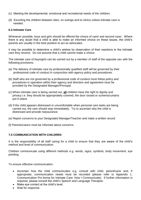- (c) Meeting the developmental, emotional and recreational needs of the children.
- (d) Escorting the children between sites, on outings and to clinics unless intimate care is needed.

#### **6.3 Intimate Care**

Whenever possible, boys and girls should be offered the choice of carer and second carer. Where there is any doubt that a child is able to make an informed choice on these issues, the child's parents are usually in the best position to act as advocates.

It may be possible to determine a child's wishes by observation of their reactions to the intimate care they receive. Do not assume that a child cannot make a choice.

The intimate care of boys/girls can be carried out by a member of staff of the opposite sex with the following provisions:

- (a) The delivery of intimate care by professionally qualified staff will be governed by their professional code of conduct in conjunction with agency policy and procedures.
- (b) Staff who are not governed by a professional code of conduct must follow policy and procedures in operation within their agency and direction and agreement must be provided by the Designated Manager/Principal.
- (c) When intimate care is being carried out, **all** children have the right to dignity and privacy i.e. they should be appropriately covered, the door closed or screens/curtains put in place.
- (d) If the child appears distressed or uncomfortable when personal care tasks are being carried out, the care should stop immediately. Try to ascertain why the child is distressed and provide reassurance.
- (e) Report concerns to your Designated Manager/Teacher and make a written record.
- (f) Parents/carers must be informed about concerns.

#### **7.0 COMMUNICATION WITH CHILDREN**

It is the responsibility of all staff caring for a child to ensure that they are aware of the child's method and level of communication.

Children communicate using different methods e.g. words, signs, symbols, body movement, eye pointing.

To ensure effective communication:

- Ascertain how the child communicates e.g. consult with child, parent/carer and, if appropriate, communication needs must be recorded (please refer to Appendix 1, Communication Pro-forma for Intimate Care: How I Communicate). If further information is required, please consult the child's Speech and Language Therapist.
- Make eye contact at the child's level.
- Wait for response.